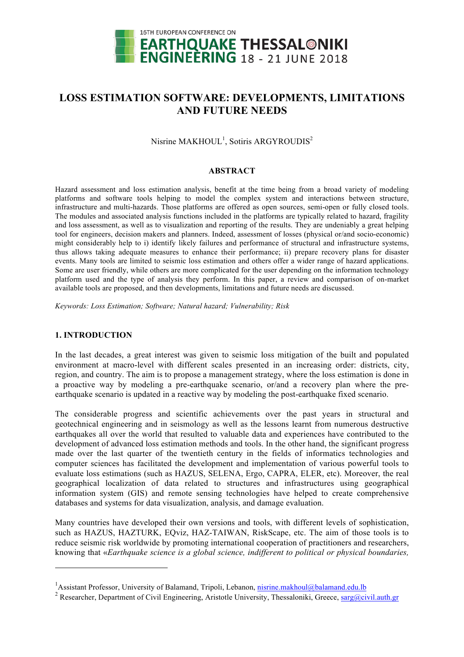

# **LOSS ESTIMATION SOFTWARE: DEVELOPMENTS, LIMITATIONS AND FUTURE NEEDS**

Nisrine MAKHOUL<sup>1</sup>, Sotiris ARGYROUDIS<sup>2</sup>

#### **ABSTRACT**

Hazard assessment and loss estimation analysis, benefit at the time being from a broad variety of modeling platforms and software tools helping to model the complex system and interactions between structure, infrastructure and multi-hazards. Those platforms are offered as open sources, semi-open or fully closed tools. The modules and associated analysis functions included in the platforms are typically related to hazard, fragility and loss assessment, as well as to visualization and reporting of the results. They are undeniably a great helping tool for engineers, decision makers and planners. Indeed, assessment of losses (physical or/and socio-economic) might considerably help to i) identify likely failures and performance of structural and infrastructure systems, thus allows taking adequate measures to enhance their performance; ii) prepare recovery plans for disaster events. Many tools are limited to seismic loss estimation and others offer a wider range of hazard applications. Some are user friendly, while others are more complicated for the user depending on the information technology platform used and the type of analysis they perform. In this paper, a review and comparison of on-market available tools are proposed, and then developments, limitations and future needs are discussed.

*Keywords: Loss Estimation; Software; Natural hazard; Vulnerability; Risk*

#### **1. INTRODUCTION**

l

In the last decades, a great interest was given to seismic loss mitigation of the built and populated environment at macro-level with different scales presented in an increasing order: districts, city, region, and country. The aim is to propose a management strategy, where the loss estimation is done in a proactive way by modeling a pre-earthquake scenario, or/and a recovery plan where the preearthquake scenario is updated in a reactive way by modeling the post-earthquake fixed scenario.

The considerable progress and scientific achievements over the past years in structural and geotechnical engineering and in seismology as well as the lessons learnt from numerous destructive earthquakes all over the world that resulted to valuable data and experiences have contributed to the development of advanced loss estimation methods and tools. In the other hand, the significant progress made over the last quarter of the twentieth century in the fields of informatics technologies and computer sciences has facilitated the development and implementation of various powerful tools to evaluate loss estimations (such as HAZUS, SELENA, Ergo, CAPRA, ELER, etc). Moreover, the real geographical localization of data related to structures and infrastructures using geographical information system (GIS) and remote sensing technologies have helped to create comprehensive databases and systems for data visualization, analysis, and damage evaluation.

Many countries have developed their own versions and tools, with different levels of sophistication, such as HAZUS, HAZTURK, EQviz, HAZ-TAIWAN, RiskScape, etc. The aim of those tools is to reduce seismic risk worldwide by promoting international cooperation of practitioners and researchers, knowing that «*Earthquake science is a global science, indifferent to political or physical boundaries,* 

<sup>&</sup>lt;sup>1</sup> Assistant Professor, University of Balamand, Tripoli, Lebanon, nisrine.makhoul@balamand.edu.lb

<sup>&</sup>lt;sup>2</sup> Researcher, Department of Civil Engineering, Aristotle University, Thessaloniki, Greece, sarg@civil.auth.gr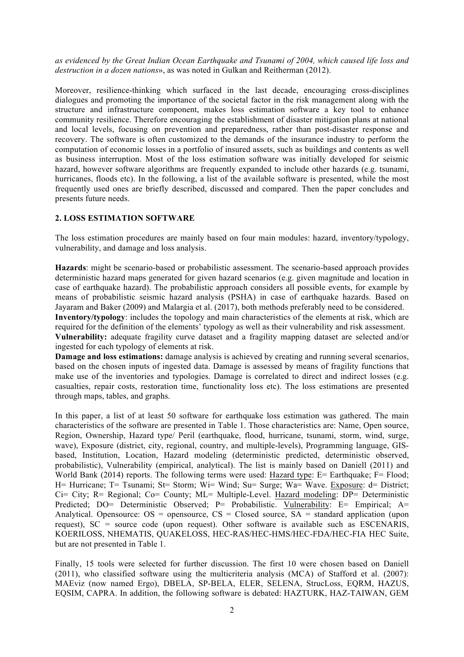*as evidenced by the Great Indian Ocean Earthquake and Tsunami of 2004, which caused life loss and destruction in a dozen nations*», as was noted in Gulkan and Reitherman (2012).

Moreover, resilience-thinking which surfaced in the last decade, encouraging cross-disciplines dialogues and promoting the importance of the societal factor in the risk management along with the structure and infrastructure component, makes loss estimation software a key tool to enhance community resilience. Therefore encouraging the establishment of disaster mitigation plans at national and local levels, focusing on prevention and preparedness, rather than post-disaster response and recovery. The software is often customized to the demands of the insurance industry to perform the computation of economic losses in a portfolio of insured assets, such as buildings and contents as well as business interruption. Most of the loss estimation software was initially developed for seismic hazard, however software algorithms are frequently expanded to include other hazards (e.g. tsunami, hurricanes, floods etc). In the following, a list of the available software is presented, while the most frequently used ones are briefly described, discussed and compared. Then the paper concludes and presents future needs.

# **2. LOSS ESTIMATION SOFTWARE**

The loss estimation procedures are mainly based on four main modules: hazard, inventory/typology, vulnerability, and damage and loss analysis.

**Hazards**: might be scenario-based or probabilistic assessment. The scenario-based approach provides deterministic hazard maps generated for given hazard scenarios (e.g. given magnitude and location in case of earthquake hazard). The probabilistic approach considers all possible events, for example by means of probabilistic seismic hazard analysis (PSHA) in case of earthquake hazards. Based on Jayaram and Baker (2009) and Malargia et al. (2017), both methods preferably need to be considered. **Inventory/typology**: includes the topology and main characteristics of the elements at risk, which are required for the definition of the elements' typology as well as their vulnerability and risk assessment. **Vulnerability:** adequate fragility curve dataset and a fragility mapping dataset are selected and/or ingested for each typology of elements at risk.

**Damage and loss estimations:** damage analysis is achieved by creating and running several scenarios, based on the chosen inputs of ingested data. Damage is assessed by means of fragility functions that make use of the inventories and typologies. Damage is correlated to direct and indirect losses (e.g. casualties, repair costs, restoration time, functionality loss etc). The loss estimations are presented through maps, tables, and graphs.

In this paper, a list of at least 50 software for earthquake loss estimation was gathered. The main characteristics of the software are presented in Table 1. Those characteristics are: Name, Open source, Region, Ownership, Hazard type/ Peril (earthquake, flood, hurricane, tsunami, storm, wind, surge, wave), Exposure (district, city, regional, country, and multiple-levels), Programming language, GISbased, Institution, Location, Hazard modeling (deterministic predicted, deterministic observed, probabilistic), Vulnerability (empirical, analytical). The list is mainly based on Daniell (2011) and World Bank (2014) reports. The following terms were used: Hazard type: E= Earthquake: F= Flood: H= Hurricane; T= Tsunami; St= Storm; Wi= Wind; Su= Surge; Wa= Wave. Exposure: d= District; Ci= City; R= Regional; Co= County; ML= Multiple-Level. Hazard modeling: DP= Deterministic Predicted; DO= Deterministic Observed; P= Probabilistic. Vulnerability: E= Empirical; A= Analytical. Opensource:  $OS =$  opensource,  $CS =$  Closed source,  $SA =$  standard application (upon request), SC = source code (upon request). Other software is available such as ESCENARIS, KOERILOSS, NHEMATIS, QUAKELOSS, HEC-RAS/HEC-HMS/HEC-FDA/HEC-FIA HEC Suite, but are not presented in Table 1.

Finally, 15 tools were selected for further discussion. The first 10 were chosen based on Daniell (2011), who classified software using the multicriteria analysis (MCA) of Stafford et al. (2007): MAEviz (now named Ergo), DBELA, SP-BELA, ELER, SELENA, StrucLoss, EQRM, HAZUS, EQSIM, CAPRA. In addition, the following software is debated: HAZTURK, HAZ-TAIWAN, GEM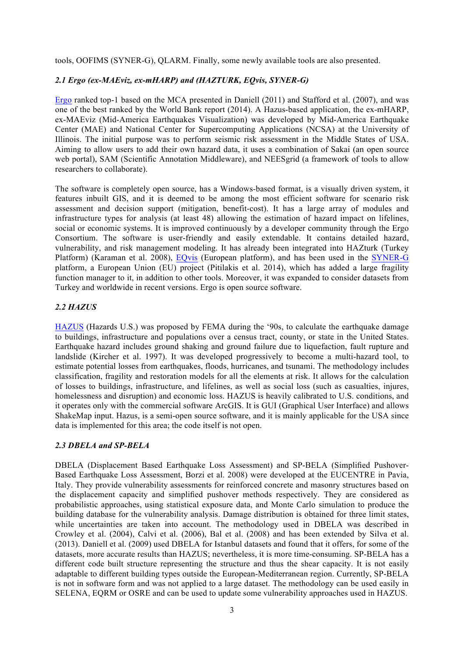tools, OOFIMS (SYNER-G), QLARM. Finally, some newly available tools are also presented.

#### *2.1 Ergo (ex-MAEviz, ex-mHARP) and (HAZTURK, EQvis, SYNER-G)*

Ergo ranked top-1 based on the MCA presented in Daniell (2011) and Stafford et al. (2007), and was one of the best ranked by the World Bank report (2014). A Hazus-based application, the ex-mHARP, ex-MAEviz (Mid-America Earthquakes Visualization) was developed by Mid-America Earthquake Center (MAE) and National Center for Supercomputing Applications (NCSA) at the University of Illinois. The initial purpose was to perform seismic risk assessment in the Middle States of USA. Aiming to allow users to add their own hazard data, it uses a combination of Sakai (an open source web portal), SAM (Scientific Annotation Middleware), and NEESgrid (a framework of tools to allow researchers to collaborate).

The software is completely open source, has a Windows-based format, is a visually driven system, it features inbuilt GIS, and it is deemed to be among the most efficient software for scenario risk assessment and decision support (mitigation, benefit-cost). It has a large array of modules and infrastructure types for analysis (at least 48) allowing the estimation of hazard impact on lifelines, social or economic systems. It is improved continuously by a developer community through the Ergo Consortium. The software is user-friendly and easily extendable. It contains detailed hazard, vulnerability, and risk management modeling. It has already been integrated into HAZturk (Turkey Platform) (Karaman et al. 2008), EQvis (European platform), and has been used in the SYNER-G platform, a European Union (EU) project (Pitilakis et al. 2014), which has added a large fragility function manager to it, in addition to other tools. Moreover, it was expanded to consider datasets from Turkey and worldwide in recent versions. Ergo is open source software.

#### *2.2 HAZUS*

HAZUS (Hazards U.S.) was proposed by FEMA during the '90s, to calculate the earthquake damage to buildings, infrastructure and populations over a census tract, county, or state in the United States. Earthquake hazard includes ground shaking and ground failure due to liquefaction, fault rupture and landslide (Kircher et al. 1997). It was developed progressively to become a multi-hazard tool, to estimate potential losses from earthquakes, floods, hurricanes, and tsunami. The methodology includes classification, fragility and restoration models for all the elements at risk. It allows for the calculation of losses to buildings, infrastructure, and lifelines, as well as social loss (such as casualties, injures, homelessness and disruption) and economic loss. HAZUS is heavily calibrated to U.S. conditions, and it operates only with the commercial software ArcGIS. It is GUI (Graphical User Interface) and allows ShakeMap input. Hazus, is a semi-open source software, and it is mainly applicable for the USA since data is implemented for this area; the code itself is not open.

#### *2.3 DBELA and SP-BELA*

DBELA (Displacement Based Earthquake Loss Assessment) and SP-BELA (Simplified Pushover-Based Earthquake Loss Assessment, Borzi et al. 2008) were developed at the EUCENTRE in Pavia, Italy. They provide vulnerability assessments for reinforced concrete and masonry structures based on the displacement capacity and simplified pushover methods respectively. They are considered as probabilistic approaches, using statistical exposure data, and Monte Carlo simulation to produce the building database for the vulnerability analysis. Damage distribution is obtained for three limit states, while uncertainties are taken into account. The methodology used in DBELA was described in Crowley et al. (2004), Calvi et al. (2006), Bal et al. (2008) and has been extended by Silva et al. (2013). Daniell et al. (2009) used DBELA for Istanbul datasets and found that it offers, for some of the datasets, more accurate results than HAZUS; nevertheless, it is more time-consuming. SP-BELA has a different code built structure representing the structure and thus the shear capacity. It is not easily adaptable to different building types outside the European-Mediterranean region. Currently, SP-BELA is not in software form and was not applied to a large dataset. The methodology can be used easily in SELENA, EQRM or OSRE and can be used to update some vulnerability approaches used in HAZUS.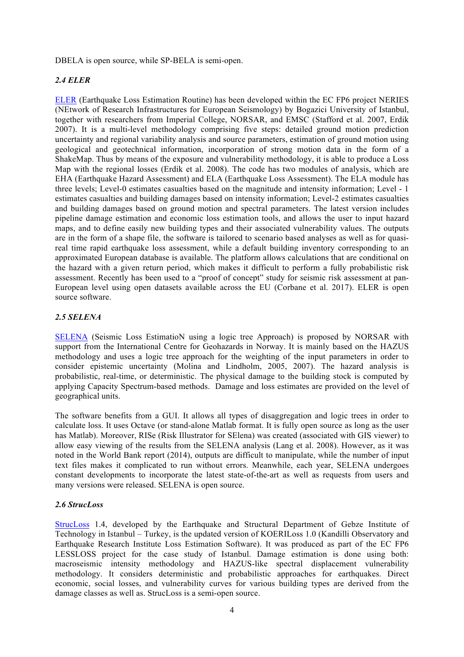DBELA is open source, while SP-BELA is semi-open.

# *2.4 ELER*

ELER (Earthquake Loss Estimation Routine) has been developed within the EC FP6 project NERIES (NEtwork of Research Infrastructures for European Seismology) by Bogazici University of Istanbul, together with researchers from Imperial College, NORSAR, and EMSC (Stafford et al. 2007, Erdik 2007). It is a multi-level methodology comprising five steps: detailed ground motion prediction uncertainty and regional variability analysis and source parameters, estimation of ground motion using geological and geotechnical information, incorporation of strong motion data in the form of a ShakeMap. Thus by means of the exposure and vulnerability methodology, it is able to produce a Loss Map with the regional losses (Erdik et al. 2008). The code has two modules of analysis, which are EHA (Earthquake Hazard Assessment) and ELA (Earthquake Loss Assessment). The ELA module has three levels; Level-0 estimates casualties based on the magnitude and intensity information; Level - 1 estimates casualties and building damages based on intensity information; Level-2 estimates casualties and building damages based on ground motion and spectral parameters. The latest version includes pipeline damage estimation and economic loss estimation tools, and allows the user to input hazard maps, and to define easily new building types and their associated vulnerability values. The outputs are in the form of a shape file, the software is tailored to scenario based analyses as well as for quasireal time rapid earthquake loss assessment, while a default building inventory corresponding to an approximated European database is available. The platform allows calculations that are conditional on the hazard with a given return period, which makes it difficult to perform a fully probabilistic risk assessment. Recently has been used to a "proof of concept" study for seismic risk assessment at pan-European level using open datasets available across the EU (Corbane et al. 2017). ELER is open source software.

# *2.5 SELENA*

SELENA (Seismic Loss EstimatioN using a logic tree Approach) is proposed by NORSAR with support from the International Centre for Geohazards in Norway. It is mainly based on the HAZUS methodology and uses a logic tree approach for the weighting of the input parameters in order to consider epistemic uncertainty (Molina and Lindholm, 2005, 2007). The hazard analysis is probabilistic, real-time, or deterministic. The physical damage to the building stock is computed by applying Capacity Spectrum-based methods. Damage and loss estimates are provided on the level of geographical units.

The software benefits from a GUI. It allows all types of disaggregation and logic trees in order to calculate loss. It uses Octave (or stand-alone Matlab format. It is fully open source as long as the user has Matlab). Moreover, RISe (Risk Illustrator for SElena) was created (associated with GIS viewer) to allow easy viewing of the results from the SELENA analysis (Lang et al. 2008). However, as it was noted in the World Bank report (2014), outputs are difficult to manipulate, while the number of input text files makes it complicated to run without errors. Meanwhile, each year, SELENA undergoes constant developments to incorporate the latest state-of-the-art as well as requests from users and many versions were released. SELENA is open source.

#### *2.6 StrucLoss*

StrucLoss 1.4, developed by the Earthquake and Structural Department of Gebze Institute of Technology in Istanbul – Turkey, is the updated version of KOERILoss 1.0 (Kandilli Observatory and Earthquake Research Institute Loss Estimation Software). It was produced as part of the EC FP6 LESSLOSS project for the case study of Istanbul. Damage estimation is done using both: macroseismic intensity methodology and HAZUS-like spectral displacement vulnerability methodology. It considers deterministic and probabilistic approaches for earthquakes. Direct economic, social losses, and vulnerability curves for various building types are derived from the damage classes as well as. StrucLoss is a semi-open source.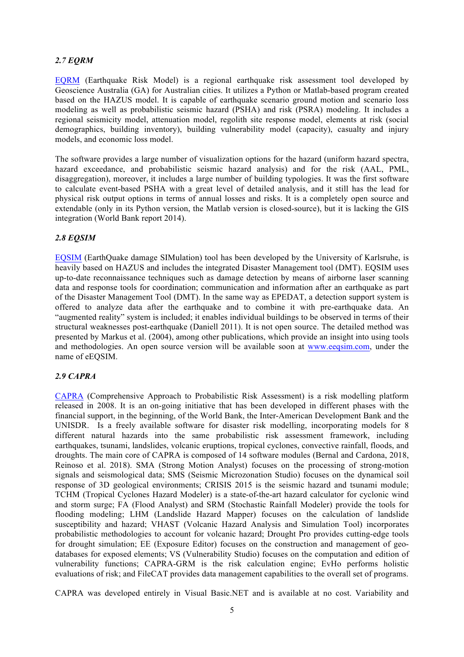# *2.7 EQRM*

EQRM (Earthquake Risk Model) is a regional earthquake risk assessment tool developed by Geoscience Australia (GA) for Australian cities. It utilizes a Python or Matlab-based program created based on the HAZUS model. It is capable of earthquake scenario ground motion and scenario loss modeling as well as probabilistic seismic hazard (PSHA) and risk (PSRA) modeling. It includes a regional seismicity model, attenuation model, regolith site response model, elements at risk (social demographics, building inventory), building vulnerability model (capacity), casualty and injury models, and economic loss model.

The software provides a large number of visualization options for the hazard (uniform hazard spectra, hazard exceedance, and probabilistic seismic hazard analysis) and for the risk (AAL, PML, disaggregation), moreover, it includes a large number of building typologies. It was the first software to calculate event-based PSHA with a great level of detailed analysis, and it still has the lead for physical risk output options in terms of annual losses and risks. It is a completely open source and extendable (only in its Python version, the Matlab version is closed-source), but it is lacking the GIS integration (World Bank report 2014).

# *2.8 EQSIM*

EQSIM (EarthQuake damage SIMulation) tool has been developed by the University of Karlsruhe, is heavily based on HAZUS and includes the integrated Disaster Management tool (DMT). EQSIM uses up-to-date reconnaissance techniques such as damage detection by means of airborne laser scanning data and response tools for coordination; communication and information after an earthquake as part of the Disaster Management Tool (DMT). In the same way as EPEDAT, a detection support system is offered to analyze data after the earthquake and to combine it with pre-earthquake data. An "augmented reality" system is included; it enables individual buildings to be observed in terms of their structural weaknesses post-earthquake (Daniell 2011). It is not open source. The detailed method was presented by Markus et al. (2004), among other publications, which provide an insight into using tools and methodologies. An open source version will be available soon at www.eeqsim.com, under the name of eEQSIM.

#### *2.9 CAPRA*

CAPRA (Comprehensive Approach to Probabilistic Risk Assessment) is a risk modelling platform released in 2008. It is an on-going initiative that has been developed in different phases with the financial support, in the beginning, of the World Bank, the Inter-American Development Bank and the UNISDR. Is a freely available software for disaster risk modelling, incorporating models for 8 different natural hazards into the same probabilistic risk assessment framework, including earthquakes, tsunami, landslides, volcanic eruptions, tropical cyclones, convective rainfall, floods, and droughts. The main core of CAPRA is composed of 14 software modules (Bernal and Cardona, 2018, Reinoso et al. 2018). SMA (Strong Motion Analyst) focuses on the processing of strong-motion signals and seismological data; SMS (Seismic Microzonation Studio) focuses on the dynamical soil response of 3D geological environments; CRISIS 2015 is the seismic hazard and tsunami module; TCHM (Tropical Cyclones Hazard Modeler) is a state-of-the-art hazard calculator for cyclonic wind and storm surge; FA (Flood Analyst) and SRM (Stochastic Rainfall Modeler) provide the tools for flooding modeling; LHM (Landslide Hazard Mapper) focuses on the calculation of landslide susceptibility and hazard; VHAST (Volcanic Hazard Analysis and Simulation Tool) incorporates probabilistic methodologies to account for volcanic hazard; Drought Pro provides cutting-edge tools for drought simulation; EE (Exposure Editor) focuses on the construction and management of geodatabases for exposed elements; VS (Vulnerability Studio) focuses on the computation and edition of vulnerability functions; CAPRA-GRM is the risk calculation engine; EvHo performs holistic evaluations of risk; and FileCAT provides data management capabilities to the overall set of programs.

CAPRA was developed entirely in Visual Basic.NET and is available at no cost. Variability and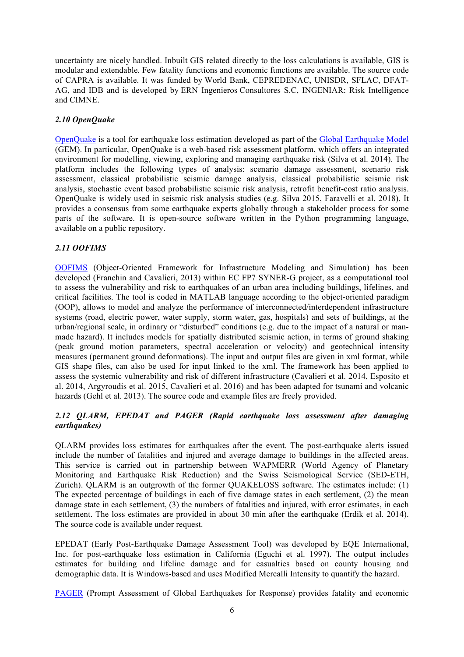uncertainty are nicely handled. Inbuilt GIS related directly to the loss calculations is available, GIS is modular and extendable. Few fatality functions and economic functions are available. The source code of CAPRA is available. It was funded by World Bank, CEPREDENAC, UNISDR, SFLAC, DFAT-AG, and IDB and is developed by ERN Ingenieros Consultores S.C, INGENIAR: Risk Intelligence and CIMNE.

# *2.10 OpenQuake*

OpenQuake is a tool for earthquake loss estimation developed as part of the Global Earthquake Model (GEM). In particular, OpenQuake is a web-based risk assessment platform, which offers an integrated environment for modelling, viewing, exploring and managing earthquake risk (Silva et al. 2014). The platform includes the following types of analysis: scenario damage assessment, scenario risk assessment, classical probabilistic seismic damage analysis, classical probabilistic seismic risk analysis, stochastic event based probabilistic seismic risk analysis, retrofit benefit-cost ratio analysis. OpenQuake is widely used in seismic risk analysis studies (e.g. Silva 2015, Faravelli et al. 2018). It provides a consensus from some earthquake experts globally through a stakeholder process for some parts of the software. It is open-source software written in the Python programming language, available on a public repository.

# *2.11 OOFIMS*

OOFIMS (Object-Oriented Framework for Infrastructure Modeling and Simulation) has been developed (Franchin and Cavalieri, 2013) within EC FP7 SYNER-G project, as a computational tool to assess the vulnerability and risk to earthquakes of an urban area including buildings, lifelines, and critical facilities. The tool is coded in MATLAB language according to the object-oriented paradigm (OOP), allows to model and analyze the performance of interconnected/interdependent infrastructure systems (road, electric power, water supply, storm water, gas, hospitals) and sets of buildings, at the urban/regional scale, in ordinary or "disturbed" conditions (e.g. due to the impact of a natural or manmade hazard). It includes models for spatially distributed seismic action, in terms of ground shaking (peak ground motion parameters, spectral acceleration or velocity) and geotechnical intensity measures (permanent ground deformations). The input and output files are given in xml format, while GIS shape files, can also be used for input linked to the xml. The framework has been applied to assess the systemic vulnerability and risk of different infrastructure (Cavalieri et al. 2014, Esposito et al. 2014, Argyroudis et al. 2015, Cavalieri et al. 2016) and has been adapted for tsunami and volcanic hazards (Gehl et al. 2013). The source code and example files are freely provided.

# *2.12 QLARM, EPEDAT and PAGER (Rapid earthquake loss assessment after damaging earthquakes)*

QLARM provides loss estimates for earthquakes after the event. The post-earthquake alerts issued include the number of fatalities and injured and average damage to buildings in the affected areas. This service is carried out in partnership between WAPMERR (World Agency of Planetary Monitoring and Earthquake Risk Reduction) and the Swiss Seismological Service (SED-ETH, Zurich). QLARM is an outgrowth of the former QUAKELOSS software. The estimates include: (1) The expected percentage of buildings in each of five damage states in each settlement, (2) the mean damage state in each settlement, (3) the numbers of fatalities and injured, with error estimates, in each settlement. The loss estimates are provided in about 30 min after the earthquake (Erdik et al. 2014). The source code is available under request.

EPEDAT (Early Post-Earthquake Damage Assessment Tool) was developed by EQE International, Inc. for post-earthquake loss estimation in California (Eguchi et al. 1997). The output includes estimates for building and lifeline damage and for casualties based on county housing and demographic data. It is Windows-based and uses Modified Mercalli Intensity to quantify the hazard.

PAGER (Prompt Assessment of Global Earthquakes for Response) provides fatality and economic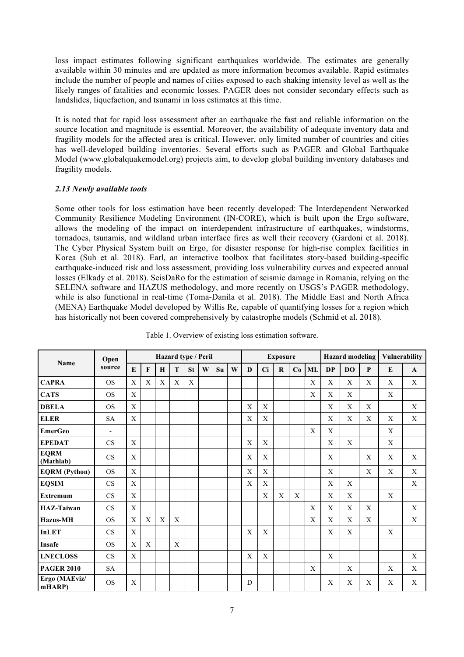loss impact estimates following significant earthquakes worldwide. The estimates are generally available within 30 minutes and are updated as more information becomes available. Rapid estimates include the number of people and names of cities exposed to each shaking intensity level as well as the likely ranges of fatalities and economic losses. PAGER does not consider secondary effects such as landslides, liquefaction, and tsunami in loss estimates at this time.

It is noted that for rapid loss assessment after an earthquake the fast and reliable information on the source location and magnitude is essential. Moreover, the availability of adequate inventory data and fragility models for the affected area is critical. However, only limited number of countries and cities has well-developed building inventories. Several efforts such as PAGER and Global Earthquake Model (www.globalquakemodel.org) projects aim, to develop global building inventory databases and fragility models.

# *2.13 Newly available tools*

Some other tools for loss estimation have been recently developed: The Interdependent Networked Community Resilience Modeling Environment (IN-CORE), which is built upon the Ergo software, allows the modeling of the impact on interdependent infrastructure of earthquakes, windstorms, tornadoes, tsunamis, and wildland urban interface fires as well their recovery (Gardoni et al. 2018). The Cyber Physical System built on Ergo, for disaster response for high-rise complex facilities in Korea (Suh et al. 2018). Earl, an interactive toolbox that facilitates story-based building-specific earthquake-induced risk and loss assessment, providing loss vulnerability curves and expected annual losses (Elkady et al. 2018). SeisDaRo for the estimation of seismic damage in Romania, relying on the SELENA software and HAZUS methodology, and more recently on USGS's PAGER methodology, while is also functional in real-time (Toma-Danila et al. 2018). The Middle East and North Africa (MENA) Earthquake Model developed by Willis Re, capable of quantifying losses for a region which has historically not been covered comprehensively by catastrophe models (Schmid et al. 2018).

| Name                     | Open<br>source           | Hazard type / Peril |              |   |                  |           |   |    | <b>Exposure</b> |   |             |          |    | <b>Hazard</b> modeling |                           |                | Vulnerability |   |              |
|--------------------------|--------------------------|---------------------|--------------|---|------------------|-----------|---|----|-----------------|---|-------------|----------|----|------------------------|---------------------------|----------------|---------------|---|--------------|
|                          |                          | E                   | $\mathbf{F}$ | H | T                | <b>St</b> | W | Su | W               | D | Ci          | $\bf{R}$ | Co | ML                     | <b>DP</b>                 | D <sub>O</sub> | $\mathbf{P}$  | E | $\mathbf{A}$ |
| <b>CAPRA</b>             | <b>OS</b>                | X                   | X            | X | X                | X         |   |    |                 |   |             |          |    | X                      | X                         | X              | X             | X | X            |
| <b>CATS</b>              | <b>OS</b>                | X                   |              |   |                  |           |   |    |                 |   |             |          |    | X                      | X                         | X              |               | X |              |
| <b>DBELA</b>             | <b>OS</b>                | X                   |              |   |                  |           |   |    |                 | X | X           |          |    |                        | X                         | X              | X             |   | X            |
| <b>ELER</b>              | <b>SA</b>                | X                   |              |   |                  |           |   |    |                 | X | X           |          |    |                        | X                         | X              | X             | X | X            |
| <b>EmerGeo</b>           | $\overline{\phantom{a}}$ |                     |              |   |                  |           |   |    |                 |   |             |          |    | X                      | X                         |                |               | X |              |
| <b>EPEDAT</b>            | CS                       | X                   |              |   |                  |           |   |    |                 | X | X           |          |    |                        | X                         | X              |               | X |              |
| <b>EQRM</b><br>(Mathlab) | CS                       | X                   |              |   |                  |           |   |    |                 | X | X           |          |    |                        | X                         |                | X             | X | X            |
| <b>EQRM</b> (Python)     | <b>OS</b>                | X                   |              |   |                  |           |   |    |                 | X | X           |          |    |                        | X                         |                | X             | X | X            |
| <b>EQSIM</b>             | CS                       | $\mathbf X$         |              |   |                  |           |   |    |                 | X | $\mathbf X$ |          |    |                        | $\mathbf X$               | X              |               |   | X            |
| <b>Extremum</b>          | <b>CS</b>                | X                   |              |   |                  |           |   |    |                 |   | X           | X        | X  |                        | X                         | X              |               | X |              |
| <b>HAZ-Taiwan</b>        | CS                       | X                   |              |   |                  |           |   |    |                 |   |             |          |    | X                      | X                         | X              | X             |   | X            |
| <b>Hazus-MH</b>          | <b>OS</b>                | X                   | X            | X | $\boldsymbol{X}$ |           |   |    |                 |   |             |          |    | $\mathbf{X}$           | $\boldsymbol{\mathrm{X}}$ | X              | X             |   | X            |
| <b>InLET</b>             | <b>CS</b>                | $\mathbf X$         |              |   |                  |           |   |    |                 | X | $\mathbf X$ |          |    |                        | X                         | X              |               | X |              |
| <b>Insafe</b>            | <b>OS</b>                | X                   | X            |   | X                |           |   |    |                 |   |             |          |    |                        |                           |                |               |   |              |
| <b>LNECLOSS</b>          | CS                       | X                   |              |   |                  |           |   |    |                 | X | X           |          |    |                        | X                         |                |               |   | $\mathbf X$  |
| <b>PAGER 2010</b>        | SA                       |                     |              |   |                  |           |   |    |                 |   |             |          |    | $\mathbf X$            |                           | X              |               | X | X            |
| Ergo (MAEviz/<br>mHARP)  | <b>OS</b>                | X                   |              |   |                  |           |   |    |                 | D |             |          |    |                        | X                         | X              | X             | X | X            |

Table 1. Overview of existing loss estimation software.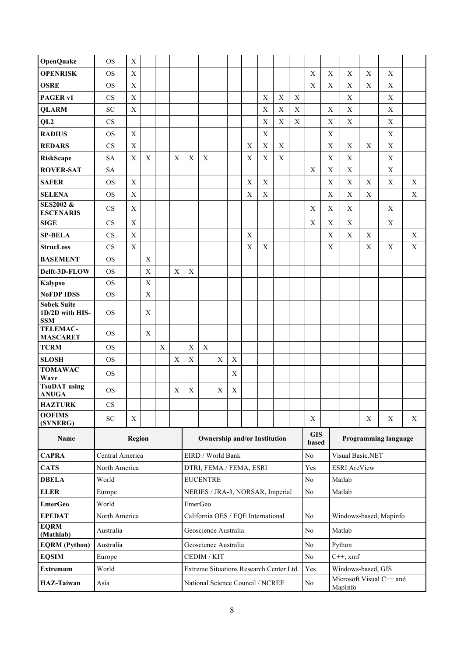| <b>OpenQuake</b>                                    | <b>OS</b>       | $\mathbf X$ |                           |             |   |                                     |             |             |             |                                         |             |                           |             |                           |                           |                                     |             |             |             |
|-----------------------------------------------------|-----------------|-------------|---------------------------|-------------|---|-------------------------------------|-------------|-------------|-------------|-----------------------------------------|-------------|---------------------------|-------------|---------------------------|---------------------------|-------------------------------------|-------------|-------------|-------------|
| <b>OPENRISK</b>                                     | OS              | X           |                           |             |   |                                     |             |             |             |                                         |             |                           |             | $\mathbf X$               | $\boldsymbol{\mathrm{X}}$ | X                                   | X           | X           |             |
| <b>OSRE</b>                                         | <b>OS</b>       | $\mathbf X$ |                           |             |   |                                     |             |             |             |                                         |             |                           |             | $\mathbf X$               | X                         | X                                   | $\mathbf X$ | X           |             |
| PAGER v1                                            | CS              | X           |                           |             |   |                                     |             |             |             |                                         | X           | X                         | $\mathbf X$ |                           |                           | $\mathbf X$                         |             | X           |             |
| <b>QLARM</b>                                        | SC              | $\mathbf X$ |                           |             |   |                                     |             |             |             |                                         | X           | $\mathbf X$               | $\mathbf X$ |                           | X                         | X                                   |             | X           |             |
| QL <sub>2</sub>                                     | CS              |             |                           |             |   |                                     |             |             |             |                                         | X           | X                         | $\mathbf X$ |                           | X                         | $\boldsymbol{\mathrm{X}}$           |             | X           |             |
| <b>RADIUS</b>                                       | <b>OS</b>       | $\mathbf X$ |                           |             |   |                                     |             |             |             |                                         | $\mathbf X$ |                           |             |                           | $\mathbf X$               |                                     |             | X           |             |
| <b>REDARS</b>                                       | CS              | $\mathbf X$ |                           |             |   |                                     |             |             |             | X                                       | $\mathbf X$ | $\boldsymbol{\mathrm{X}}$ |             |                           | $\mathbf X$               | $\mathbf X$                         | $\mathbf X$ | $\mathbf X$ |             |
| <b>RiskScape</b>                                    | <b>SA</b>       | X           | $\boldsymbol{\mathrm{X}}$ |             | X | X                                   | $\mathbf X$ |             |             | X                                       | X           | X                         |             |                           | X                         | X                                   |             | X           |             |
| <b>ROVER-SAT</b>                                    | <b>SA</b>       |             |                           |             |   |                                     |             |             |             |                                         |             |                           |             | $\boldsymbol{\mathrm{X}}$ | X                         | X                                   |             | X           |             |
| <b>SAFER</b>                                        | <b>OS</b>       | X           |                           |             |   |                                     |             |             |             | X                                       | $\mathbf X$ |                           |             |                           | $\mathbf X$               | X                                   | X           | $\mathbf X$ | X           |
| <b>SELENA</b>                                       | <b>OS</b>       | $\mathbf X$ |                           |             |   |                                     |             |             |             | X                                       | X           |                           |             |                           | $\mathbf X$               | $\mathbf X$                         | $\mathbf X$ |             | X           |
| <b>SES2002 &amp;</b><br><b>ESCENARIS</b>            | CS              | X           |                           |             |   |                                     |             |             |             |                                         |             |                           |             | X                         | X                         | $\mathbf X$                         |             | X           |             |
| <b>SIGE</b>                                         | CS              | $\mathbf X$ |                           |             |   |                                     |             |             |             |                                         |             |                           |             | $\mathbf X$               | X                         | X                                   |             | X           |             |
| <b>SP-BELA</b>                                      | CS              | $\mathbf X$ |                           |             |   |                                     |             |             |             | X                                       |             |                           |             |                           | X                         | X                                   | $\mathbf X$ |             | X           |
| <b>StrucLoss</b>                                    | CS              | $\mathbf X$ |                           |             |   |                                     |             |             |             | X                                       | $\mathbf X$ |                           |             |                           | X                         |                                     | $\mathbf X$ | X           | $\mathbf X$ |
| <b>BASEMENT</b>                                     | <b>OS</b>       |             | $\mathbf X$               |             |   |                                     |             |             |             |                                         |             |                           |             |                           |                           |                                     |             |             |             |
| Delft-3D-FLOW                                       | <b>OS</b>       |             | X                         |             | X | X                                   |             |             |             |                                         |             |                           |             |                           |                           |                                     |             |             |             |
| <b>Kalypso</b>                                      | <b>OS</b>       |             | X                         |             |   |                                     |             |             |             |                                         |             |                           |             |                           |                           |                                     |             |             |             |
| <b>NoFDP IDSS</b>                                   | <b>OS</b>       |             | $\mathbf X$               |             |   |                                     |             |             |             |                                         |             |                           |             |                           |                           |                                     |             |             |             |
| <b>Sobek Suite</b><br>1D/2D with HIS-<br><b>SSM</b> | <b>OS</b>       |             | X                         |             |   |                                     |             |             |             |                                         |             |                           |             |                           |                           |                                     |             |             |             |
| <b>TELEMAC-</b><br><b>MASCARET</b>                  | <b>OS</b>       |             | X                         |             |   |                                     |             |             |             |                                         |             |                           |             |                           |                           |                                     |             |             |             |
| <b>TCRM</b>                                         | <b>OS</b>       |             |                           | $\mathbf X$ |   | $\mathbf X$                         | $\mathbf X$ |             |             |                                         |             |                           |             |                           |                           |                                     |             |             |             |
| <b>SLOSH</b>                                        | <b>OS</b>       |             |                           |             | X | X                                   |             | $\mathbf X$ | X           |                                         |             |                           |             |                           |                           |                                     |             |             |             |
| <b>TOMAWAC</b><br>Wave                              | <b>OS</b>       |             |                           |             |   |                                     |             |             | X           |                                         |             |                           |             |                           |                           |                                     |             |             |             |
| <b>TsuDAT</b> using<br><b>ANUGA</b>                 | <b>OS</b>       |             |                           |             | X | X                                   |             | X           | $\mathbf X$ |                                         |             |                           |             |                           |                           |                                     |             |             |             |
| <b>HAZTURK</b>                                      | <b>CS</b>       |             |                           |             |   |                                     |             |             |             |                                         |             |                           |             |                           |                           |                                     |             |             |             |
| <b>OOFIMS</b>                                       | ${\rm SC}$      | X           |                           |             |   |                                     |             |             |             |                                         |             |                           |             | X                         |                           |                                     | X           | X           | X           |
| (SYNERG)                                            |                 |             |                           |             |   |                                     |             |             |             |                                         |             |                           |             | <b>GIS</b>                |                           |                                     |             |             |             |
| Name                                                |                 | Region      |                           |             |   | <b>Ownership and/or Institution</b> |             |             |             |                                         |             |                           |             | based                     |                           | Programming language                |             |             |             |
| <b>CAPRA</b>                                        | Central America |             |                           |             |   | EIRD / World Bank                   |             |             |             |                                         |             |                           |             | No                        |                           | Visual Basic.NET                    |             |             |             |
| <b>CATS</b>                                         | North America   |             |                           |             |   | DTRI, FEMA / FEMA, ESRI             |             |             |             |                                         |             |                           |             | Yes                       |                           | <b>ESRI</b> ArcView                 |             |             |             |
| <b>DBELA</b>                                        | World           |             |                           |             |   | <b>EUCENTRE</b>                     |             |             |             |                                         |             |                           |             | No                        |                           | Matlab                              |             |             |             |
| <b>ELER</b>                                         | Europe          |             |                           |             |   | NERIES / JRA-3, NORSAR, Imperial    |             |             |             |                                         |             |                           |             | No                        |                           | Matlab                              |             |             |             |
| <b>EmerGeo</b>                                      | World           |             |                           |             |   | EmerGeo                             |             |             |             |                                         |             |                           |             |                           |                           |                                     |             |             |             |
| <b>EPEDAT</b>                                       | North America   |             |                           |             |   | California OES / EQE International  |             |             |             |                                         |             |                           |             | No                        |                           | Windows-based, Mapinfo              |             |             |             |
| <b>EQRM</b><br>(Mathlab)                            | Australia       |             |                           |             |   | Geoscience Australia                |             |             |             |                                         |             |                           |             | No                        |                           | Matlab                              |             |             |             |
| <b>EQRM</b> (Python)                                | Australia       |             |                           |             |   | Geoscience Australia                |             |             |             |                                         |             |                           |             | No                        |                           | Python                              |             |             |             |
| <b>EQSIM</b>                                        | Europe          |             |                           |             |   | CEDIM / KIT                         |             |             |             |                                         |             |                           |             | No                        |                           | $C++$ , xmf                         |             |             |             |
| Extremum                                            | World           |             |                           |             |   |                                     |             |             |             | Extreme Situations Research Center Ltd. |             |                           |             | Yes                       |                           | Windows-based, GIS                  |             |             |             |
| <b>HAZ-Taiwan</b>                                   | Asia            |             |                           |             |   |                                     |             |             |             | National Science Council / NCREE        |             |                           |             | No                        |                           | Microsoft Visual C++ and<br>MapInfo |             |             |             |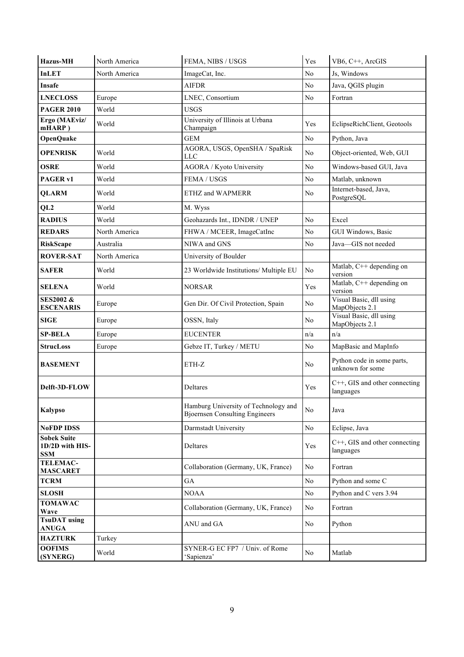| <b>Hazus-MH</b>                                     | North America | FEMA, NIBS / USGS                                                             | Yes            | VB6, C++, ArcGIS                               |
|-----------------------------------------------------|---------------|-------------------------------------------------------------------------------|----------------|------------------------------------------------|
| <b>InLET</b>                                        | North America | ImageCat, Inc.                                                                | N <sub>o</sub> | Js, Windows                                    |
| <b>Insafe</b>                                       |               | <b>AIFDR</b>                                                                  | N <sub>o</sub> | Java, QGIS plugin                              |
| <b>LNECLOSS</b>                                     | Europe        | LNEC, Consortium                                                              | No             | Fortran                                        |
| <b>PAGER 2010</b>                                   | World         | <b>USGS</b>                                                                   |                |                                                |
| Ergo (MAEviz/<br>mHARP)                             | World         | University of Illinois at Urbana<br>Champaign                                 | Yes            | EclipseRichClient, Geotools                    |
| <b>OpenQuake</b>                                    |               | <b>GEM</b>                                                                    | No             | Python, Java                                   |
| <b>OPENRISK</b>                                     | World         | AGORA, USGS, OpenSHA / SpaRisk<br><b>LLC</b>                                  | No             | Object-oriented, Web, GUI                      |
| <b>OSRE</b>                                         | World         | AGORA / Kyoto University                                                      | No             | Windows-based GUI, Java                        |
| PAGER <sub>v1</sub>                                 | World         | FEMA / USGS                                                                   | No.            | Matlab, unknown                                |
| <b>QLARM</b>                                        | World         | ETHZ and WAPMERR                                                              | N <sub>o</sub> | Internet-based, Java,<br>PostgreSQL            |
| QL <sub>2</sub>                                     | World         | M. Wyss                                                                       |                |                                                |
| <b>RADIUS</b>                                       | World         | Geohazards Int., IDNDR / UNEP                                                 | No             | Excel                                          |
| <b>REDARS</b>                                       | North America | FHWA / MCEER, ImageCatInc                                                     | No             | GUI Windows, Basic                             |
| <b>RiskScape</b>                                    | Australia     | NIWA and GNS                                                                  | No             | Java-GIS not needed                            |
| <b>ROVER-SAT</b>                                    | North America | University of Boulder                                                         |                |                                                |
| <b>SAFER</b>                                        | World         | 23 Worldwide Institutions/ Multiple EU                                        | No             | Matlab, C++ depending on<br>version            |
| <b>SELENA</b>                                       | World         | <b>NORSAR</b>                                                                 | Yes            | Matlab, C++ depending on<br>version            |
| <b>SES2002 &amp;</b><br><b>ESCENARIS</b>            | Europe        | Gen Dir. Of Civil Protection, Spain                                           | No             | Visual Basic, dll using<br>MapObjects 2.1      |
| <b>SIGE</b>                                         | Europe        | OSSN, Italy                                                                   | No             | Visual Basic, dll using<br>MapObjects 2.1      |
| <b>SP-BELA</b>                                      | Europe        | <b>EUCENTER</b>                                                               | n/a            | n/a                                            |
| <b>StrucLoss</b>                                    | Europe        | Gebze IT, Turkey / METU                                                       | N <sub>o</sub> | MapBasic and MapInfo                           |
| <b>BASEMENT</b>                                     |               | ETH-Z                                                                         | No             | Python code in some parts,<br>unknown for some |
| Delft-3D-FLOW                                       |               | Deltares                                                                      | Yes            | C++, GIS and other connecting<br>languages     |
| <b>Kalypso</b>                                      |               | Hamburg University of Technology and<br><b>Bjoernsen Consulting Engineers</b> | N <sub>0</sub> | Java                                           |
| <b>NoFDP IDSS</b>                                   |               | Darmstadt University                                                          | No             | Eclipse, Java                                  |
| <b>Sobek Suite</b><br>1D/2D with HIS-<br><b>SSM</b> |               | Deltares                                                                      | Yes            | C++, GIS and other connecting<br>languages     |
| <b>TELEMAC-</b><br><b>MASCARET</b>                  |               | Collaboration (Germany, UK, France)                                           | N <sub>0</sub> | Fortran                                        |
| <b>TCRM</b>                                         |               | GA                                                                            | No             | Python and some C                              |
| <b>SLOSH</b>                                        |               | <b>NOAA</b>                                                                   | $\rm No$       | Python and C vers 3.94                         |
| <b>TOMAWAC</b><br>Wave                              |               | Collaboration (Germany, UK, France)                                           | $\rm No$       | Fortran                                        |
| <b>TsuDAT</b> using<br><b>ANUGA</b>                 |               | ANU and GA                                                                    | N <sub>0</sub> | Python                                         |
| <b>HAZTURK</b>                                      | Turkey        |                                                                               |                |                                                |
| <b>OOFIMS</b><br>(SYNERG)                           | World         | SYNER-G EC FP7 / Univ. of Rome<br>'Sapienza'                                  | $\rm No$       | Matlab                                         |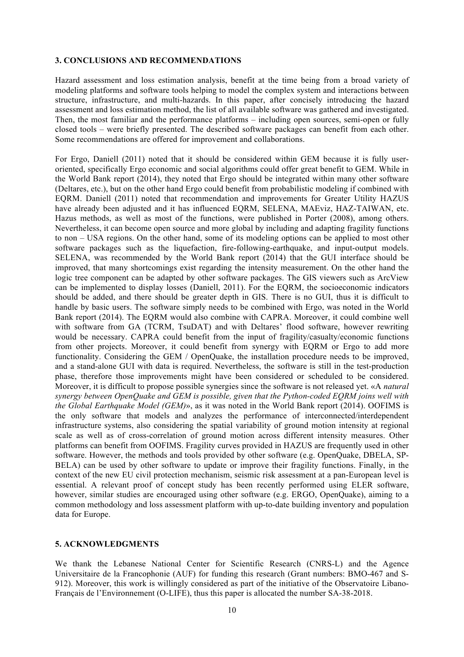#### **3. CONCLUSIONS AND RECOMMENDATIONS**

Hazard assessment and loss estimation analysis, benefit at the time being from a broad variety of modeling platforms and software tools helping to model the complex system and interactions between structure, infrastructure, and multi-hazards. In this paper, after concisely introducing the hazard assessment and loss estimation method, the list of all available software was gathered and investigated. Then, the most familiar and the performance platforms – including open sources, semi-open or fully closed tools – were briefly presented. The described software packages can benefit from each other. Some recommendations are offered for improvement and collaborations.

For Ergo, Daniell (2011) noted that it should be considered within GEM because it is fully useroriented, specifically Ergo economic and social algorithms could offer great benefit to GEM. While in the World Bank report (2014), they noted that Ergo should be integrated within many other software (Deltares, etc.), but on the other hand Ergo could benefit from probabilistic modeling if combined with EQRM. Daniell (2011) noted that recommendation and improvements for Greater Utility HAZUS have already been adjusted and it has influenced EQRM, SELENA, MAEviz, HAZ-TAIWAN, etc. Hazus methods, as well as most of the functions, were published in Porter (2008), among others. Nevertheless, it can become open source and more global by including and adapting fragility functions to non – USA regions. On the other hand, some of its modeling options can be applied to most other software packages such as the liquefaction, fire-following-earthquake, and input-output models. SELENA, was recommended by the World Bank report (2014) that the GUI interface should be improved, that many shortcomings exist regarding the intensity measurement. On the other hand the logic tree component can be adapted by other software packages. The GIS viewers such as ArcView can be implemented to display losses (Daniell, 2011). For the EQRM, the socioeconomic indicators should be added, and there should be greater depth in GIS. There is no GUI, thus it is difficult to handle by basic users. The software simply needs to be combined with Ergo, was noted in the World Bank report (2014). The EQRM would also combine with CAPRA. Moreover, it could combine well with software from GA (TCRM, TsuDAT) and with Deltares' flood software, however rewriting would be necessary. CAPRA could benefit from the input of fragility/casualty/economic functions from other projects. Moreover, it could benefit from synergy with EQRM or Ergo to add more functionality. Considering the GEM / OpenQuake, the installation procedure needs to be improved, and a stand-alone GUI with data is required. Nevertheless, the software is still in the test-production phase, therefore those improvements might have been considered or scheduled to be considered. Moreover, it is difficult to propose possible synergies since the software is not released yet. «A *natural synergy between OpenQuake and GEM is possible, given that the Python-coded EQRM joins well with the Global Earthquake Model (GEM)*», as it was noted in the World Bank report (2014). OOFIMS is the only software that models and analyzes the performance of interconnected/interdependent infrastructure systems, also considering the spatial variability of ground motion intensity at regional scale as well as of cross-correlation of ground motion across different intensity measures. Other platforms can benefit from OOFIMS. Fragility curves provided in HAZUS are frequently used in other software. However, the methods and tools provided by other software (e.g. OpenQuake, DBELA, SP-BELA) can be used by other software to update or improve their fragility functions. Finally, in the context of the new EU civil protection mechanism, seismic risk assessment at a pan-European level is essential. A relevant proof of concept study has been recently performed using ELER software, however, similar studies are encouraged using other software (e.g. ERGO, OpenQuake), aiming to a common methodology and loss assessment platform with up-to-date building inventory and population data for Europe.

#### **5. ACKNOWLEDGMENTS**

We thank the Lebanese National Center for Scientific Research (CNRS-L) and the Agence Universitaire de la Francophonie (AUF) for funding this research (Grant numbers: BMO-467 and S-912). Moreover, this work is willingly considered as part of the initiative of the Observatoire Libano-Français de l'Environnement (O-LIFE), thus this paper is allocated the number SA-38-2018.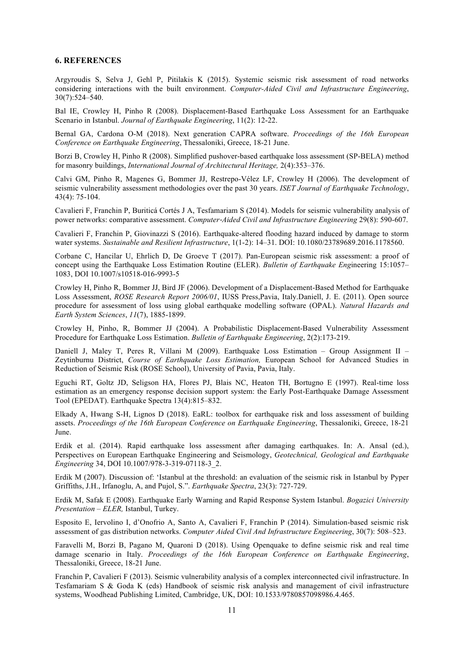#### **6. REFERENCES**

Argyroudis S, Selva J, Gehl P, Pitilakis K (2015). Systemic seismic risk assessment of road networks considering interactions with the built environment. *Computer-Aided Civil and Infrastructure Engineering*, 30(7):524–540.

Bal IE, Crowley H, Pinho R (2008). Displacement-Based Earthquake Loss Assessment for an Earthquake Scenario in Istanbul. *Journal of Earthquake Engineering*, 11(2): 12-22.

Bernal GA, Cardona O-M (2018). Next generation CAPRA software. *Proceedings of the 16th European Conference on Earthquake Engineering*, Thessaloniki, Greece, 18-21 June.

Borzi B, Crowley H, Pinho R (2008). Simplified pushover-based earthquake loss assessment (SP-BELA) method for masonry buildings, *International Journal of Architectural Heritage,* 2(4):353–376.

Calvi GM, Pinho R, Magenes G, Bommer JJ, Restrepo-Vélez LF, Crowley H (2006). The development of seismic vulnerability assessment methodologies over the past 30 years. *ISET Journal of Earthquake Technology*, 43(4): 75-104.

Cavalieri F, Franchin P, Buriticá Cortés J A, Tesfamariam S (2014). Models for seismic vulnerability analysis of power networks: comparative assessment. *Computer*-*Aided Civil and Infrastructure Engineering* 29(8): 590-607.

Cavalieri F, Franchin P, Giovinazzi S (2016). Earthquake-altered flooding hazard induced by damage to storm water systems. *Sustainable and Resilient Infrastructure*, 1(1-2): 14–31. DOI: 10.1080/23789689.2016.1178560.

Corbane C, Hancilar U, Ehrlich D, De Groeve T (2017). Pan-European seismic risk assessment: a proof of concept using the Earthquake Loss Estimation Routine (ELER). *Bulletin of Earthquake Eng*ineering 15:1057– 1083, DOI 10.1007/s10518-016-9993-5

Crowley H, Pinho R, Bommer JJ, Bird JF (2006). Development of a Displacement-Based Method for Earthquake Loss Assessment, *ROSE Research Report 2006/01*, IUSS Press,Pavia, Italy.Daniell, J. E. (2011). Open source procedure for assessment of loss using global earthquake modelling software (OPAL). *Natural Hazards and Earth System Sciences*, *11*(7), 1885-1899.

Crowley H, Pinho, R, Bommer JJ (2004). A Probabilistic Displacement-Based Vulnerability Assessment Procedure for Earthquake Loss Estimation. *Bulletin of Earthquake Engineering*, 2(2):173-219.

Daniell J, Maley T, Peres R, Villani M (2009). Earthquake Loss Estimation – Group Assignment II – Zeytinburnu District, *Course of Earthquake Loss Estimation,* European School for Advanced Studies in Reduction of Seismic Risk (ROSE School), University of Pavia, Pavia, Italy.

Eguchi RT, Goltz JD, Seligson HA, Flores PJ, Blais NC, Heaton TH, Bortugno E (1997). Real-time loss estimation as an emergency response decision support system: the Early Post-Earthquake Damage Assessment Tool (EPEDAT). Earthquake Spectra 13(4):815–832.

Elkady A, Hwang S-H, Lignos D (2018). EaRL: toolbox for earthquake risk and loss assessment of building assets. *Proceedings of the 16th European Conference on Earthquake Engineering*, Thessaloniki, Greece, 18-21 June.

Erdik et al. (2014). Rapid earthquake loss assessment after damaging earthquakes. In: A. Ansal (ed.), Perspectives on European Earthquake Engineering and Seismology, *Geotechnical, Geological and Earthquake Engineering* 34, DOI 10.1007/978-3-319-07118-3\_2.

Erdik M (2007). Discussion of: 'Istanbul at the threshold: an evaluation of the seismic risk in Istanbul by Pyper Griffiths, J.H., Irfanoglu, A, and Pujol, S.". *Earthquake Spectra*, 23(3): 727-729.

Erdik M, Safak E (2008). Earthquake Early Warning and Rapid Response System Istanbul. *Bogazici University Presentation – ELER,* Istanbul, Turkey.

Esposito E, Iervolino I, d'Onofrio A, Santo A, Cavalieri F, Franchin P (2014). Simulation-based seismic risk assessment of gas distribution networks. *Computer Aided Civil And Infrastructure Engineering*, 30(7): 508–523.

Faravelli M, Borzi B, Pagano M, Quaroni D (2018). Using Openquake to define seismic risk and real time damage scenario in Italy. *Proceedings of the 16th European Conference on Earthquake Engineering*, Thessaloniki, Greece, 18-21 June.

Franchin P, Cavalieri F (2013). Seismic vulnerability analysis of a complex interconnected civil infrastructure. In Tesfamariam S & Goda K (eds) Handbook of seismic risk analysis and management of civil infrastructure systems, Woodhead Publishing Limited, Cambridge, UK, DOI: 10.1533/9780857098986.4.465.